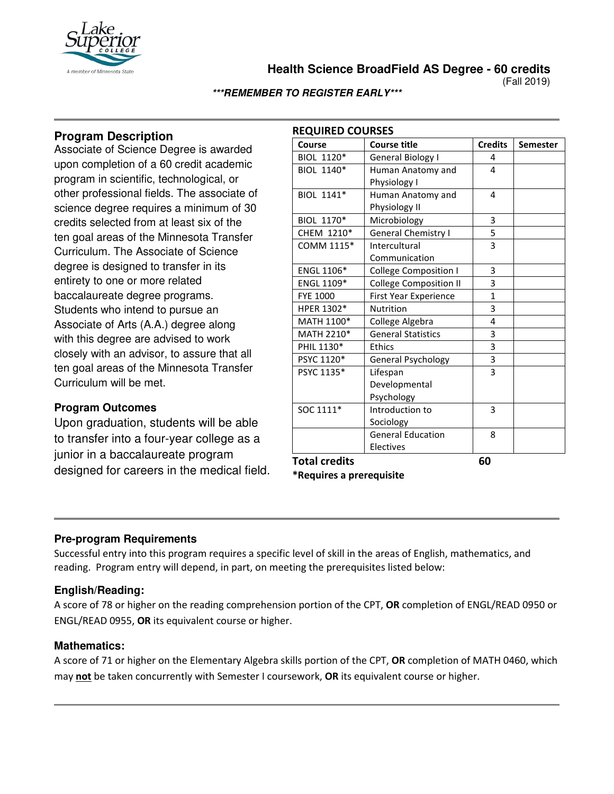

**Health Science BroadField AS Degree - 60 credits**

(Fall 2019)

#### **\*\*\*REMEMBER TO REGISTER EARLY\*\*\***

# **Program Description**

Associate of Science Degree is awarded upon completion of a 60 credit academic program in scientific, technological, or other professional fields. The associate of science degree requires a minimum of 30 credits selected from at least six of the ten goal areas of the Minnesota Transfer Curriculum. The Associate of Science degree is designed to transfer in its entirety to one or more related baccalaureate degree programs. Students who intend to pursue an Associate of Arts (A.A.) degree along with this degree are advised to work closely with an advisor, to assure that all ten goal areas of the Minnesota Transfer Curriculum will be met.

## **Program Outcomes**

Upon graduation, students will be able to transfer into a four-year college as a junior in a baccalaureate program designed for careers in the medical field.

| Course               | <b>Course title</b>           | <b>Credits</b> | <b>Semester</b> |
|----------------------|-------------------------------|----------------|-----------------|
| BIOL 1120*           | <b>General Biology I</b>      | 4              |                 |
| BIOL 1140*           | Human Anatomy and             | 4              |                 |
|                      | Physiology I                  |                |                 |
| BIOL 1141*           | Human Anatomy and             | 4              |                 |
|                      | Physiology II                 |                |                 |
| BIOL 1170*           | Microbiology                  | 3              |                 |
| CHEM 1210*           | General Chemistry I           | 5              |                 |
| COMM 1115*           | Intercultural                 | 3              |                 |
|                      | Communication                 |                |                 |
| ENGL 1106*           | College Composition I         | 3              |                 |
| ENGL 1109*           | <b>College Composition II</b> | 3              |                 |
| <b>FYE 1000</b>      | <b>First Year Experience</b>  | $\mathbf{1}$   |                 |
| HPER 1302*           | Nutrition                     | 3              |                 |
| MATH 1100*           | College Algebra               | 4              |                 |
| MATH 2210*           | <b>General Statistics</b>     | 3              |                 |
| PHIL 1130*           | <b>Ethics</b>                 | 3              |                 |
| PSYC 1120*           | General Psychology            | 3              |                 |
| PSYC 1135*           | Lifespan                      | 3              |                 |
|                      | Developmental                 |                |                 |
|                      | Psychology                    |                |                 |
| SOC 1111*            | Introduction to               | 3              |                 |
|                      | Sociology                     |                |                 |
|                      | <b>General Education</b>      | 8              |                 |
|                      | Electives                     |                |                 |
| <b>Total credits</b> |                               | 60             |                 |

**\*Requires a prerequisite** 

## **Pre-program Requirements**

Successful entry into this program requires a specific level of skill in the areas of English, mathematics, and reading. Program entry will depend, in part, on meeting the prerequisites listed below:

## **English/Reading:**

A score of 78 or higher on the reading comprehension portion of the CPT, **OR** completion of ENGL/READ 0950 or ENGL/READ 0955, **OR** its equivalent course or higher.

## **Mathematics:**

A score of 71 or higher on the Elementary Algebra skills portion of the CPT, **OR** completion of MATH 0460, which may **not** be taken concurrently with Semester I coursework, **OR** its equivalent course or higher.